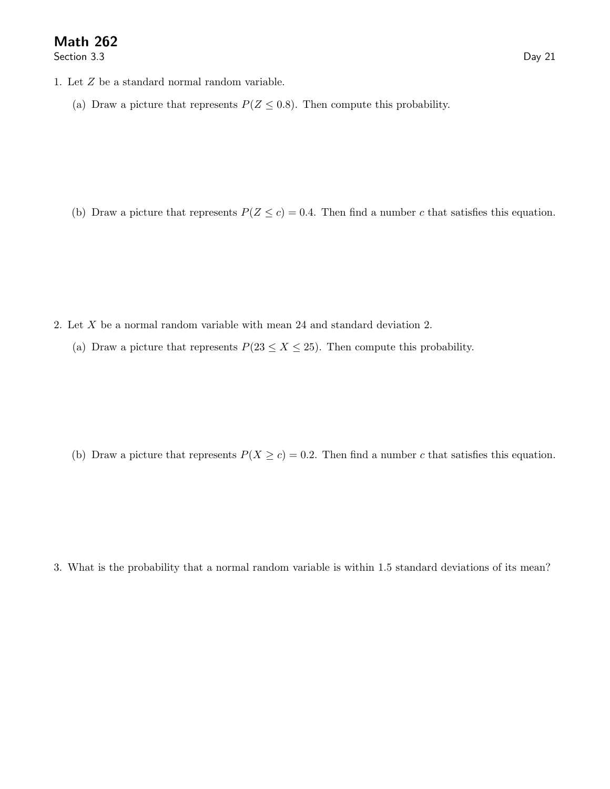Section 3.3 Day 21

- 1. Let Z be a standard normal random variable.
	- (a) Draw a picture that represents  $P(Z \le 0.8)$ . Then compute this probability.

(b) Draw a picture that represents  $P(Z \le c) = 0.4$ . Then find a number c that satisfies this equation.

- 2. Let X be a normal random variable with mean 24 and standard deviation 2.
	- (a) Draw a picture that represents  $P(23 \le X \le 25)$ . Then compute this probability.

(b) Draw a picture that represents  $P(X \ge c) = 0.2$ . Then find a number c that satisfies this equation.

3. What is the probability that a normal random variable is within 1.5 standard deviations of its mean?